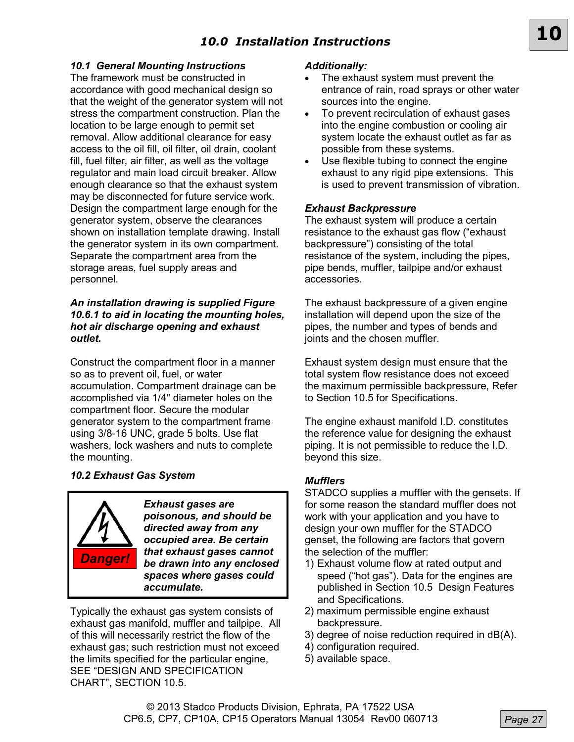# *10.0 Installation Instructions*

### *10.1 General Mounting Instructions*

The framework must be constructed in accordance with good mechanical design so that the weight of the generator system will not stress the compartment construction. Plan the location to be large enough to permit set removal. Allow additional clearance for easy access to the oil fill, oil filter, oil drain, coolant fill, fuel filter, air filter, as well as the voltage regulator and main load circuit breaker. Allow enough clearance so that the exhaust system may be disconnected for future service work. Design the compartment large enough for the generator system, observe the clearances shown on installation template drawing. Install the generator system in its own compartment. Separate the compartment area from the storage areas, fuel supply areas and personnel.

### *An installation drawing is supplied Figure 10.6.1 to aid in locating the mounting holes, hot air discharge opening and exhaust outlet.*

Construct the compartment floor in a manner so as to prevent oil, fuel, or water accumulation. Compartment drainage can be accomplished via 1/4" diameter holes on the compartment floor. Secure the modular generator system to the compartment frame using 3/8-16 UNC, grade 5 bolts. Use flat washers, lock washers and nuts to complete the mounting.

## *10.2 Exhaust Gas System*



*Exhaust gases are poisonous, and should be directed away from any occupied area. Be certain that exhaust gases cannot be drawn into any enclosed spaces where gases could accumulate.* 

Typically the exhaust gas system consists of exhaust gas manifold, muffler and tailpipe. All of this will necessarily restrict the flow of the exhaust gas; such restriction must not exceed the limits specified for the particular engine, SEE "DESIGN AND SPECIFICATION CHART", SECTION 10.5.

### *Additionally:*

 The exhaust system must prevent the entrance of rain, road sprays or other water sources into the engine.

**10**

- To prevent recirculation of exhaust gases into the engine combustion or cooling air system locate the exhaust outlet as far as possible from these systems.
- Use flexible tubing to connect the engine exhaust to any rigid pipe extensions. This is used to prevent transmission of vibration.

### *Exhaust Backpressure*

The exhaust system will produce a certain resistance to the exhaust gas flow ("exhaust backpressure") consisting of the total resistance of the system, including the pipes, pipe bends, muffler, tailpipe and/or exhaust accessories.

The exhaust backpressure of a given engine installation will depend upon the size of the pipes, the number and types of bends and joints and the chosen muffler.

Exhaust system design must ensure that the total system flow resistance does not exceed the maximum permissible backpressure, Refer to Section 10.5 for Specifications.

The engine exhaust manifold I.D. constitutes the reference value for designing the exhaust piping. It is not permissible to reduce the I.D. beyond this size.

### *Mufflers*

STADCO supplies a muffler with the gensets. If for some reason the standard muffler does not work with your application and you have to design your own muffler for the STADCO genset, the following are factors that govern the selection of the muffler:

- 1) Exhaust volume flow at rated output and speed ("hot gas"). Data for the engines are published in Section 10.5 Design Features and Specifications.
- 2) maximum permissible engine exhaust backpressure.
- 3) degree of noise reduction required in dB(A).
- 4) configuration required.
- 5) available space.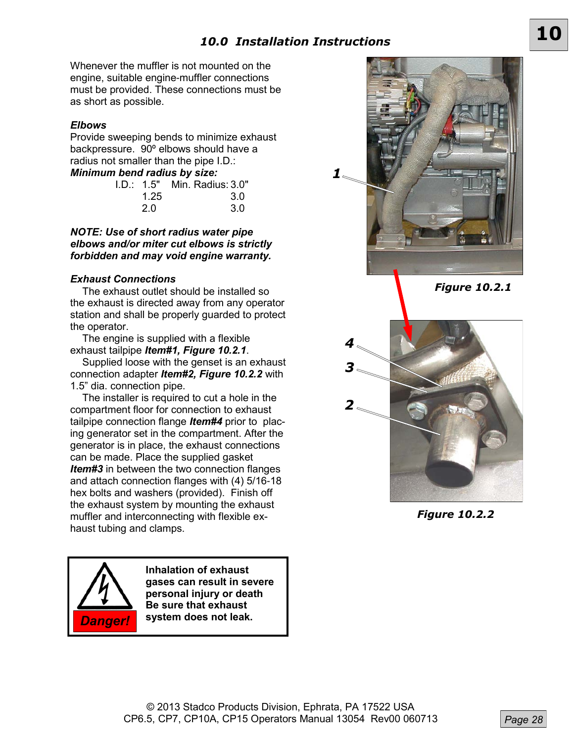Whenever the muffler is not mounted on the engine, suitable engine-muffler connections must be provided. These connections must be as short as possible.

## *Elbows*

Provide sweeping bends to minimize exhaust backpressure. 90º elbows should have a radius not smaller than the pipe I.D.: *Minimum bend radius by size:*

| 1.25 | 3.0 |                                                        |
|------|-----|--------------------------------------------------------|
| 2.0  | 3.0 |                                                        |
|      |     | I NGHU LUULUJ NY JILG.<br>I.D.: 1.5" Min. Radius: 3.0" |

*NOTE: Use of short radius water pipe elbows and/or miter cut elbows is strictly forbidden and may void engine warranty.*

### *Exhaust Connections*

The exhaust outlet should be installed so the exhaust is directed away from any operator station and shall be properly guarded to protect the operator.

The engine is supplied with a flexible exhaust tailpipe *Item#1, Figure 10.2.1*.

Supplied loose with the genset is an exhaust connection adapter *Item#2, Figure 10.2.2* with 1.5" dia. connection pipe.

The installer is required to cut a hole in the compartment floor for connection to exhaust tailpipe connection flange *Item#4* prior to placing generator set in the compartment. After the generator is in place, the exhaust connections can be made. Place the supplied gasket *Item#3* in between the two connection flanges and attach connection flanges with (4) 5/16-18 hex bolts and washers (provided). Finish off the exhaust system by mounting the exhaust muffler and interconnecting with flexible exhaust tubing and clamps.



**Inhalation of exhaust gases can result in severe personal injury or death Be sure that exhaust**  *Danger!* **system does not leak.**



*Figure 10.2.1*



*Figure 10.2.2*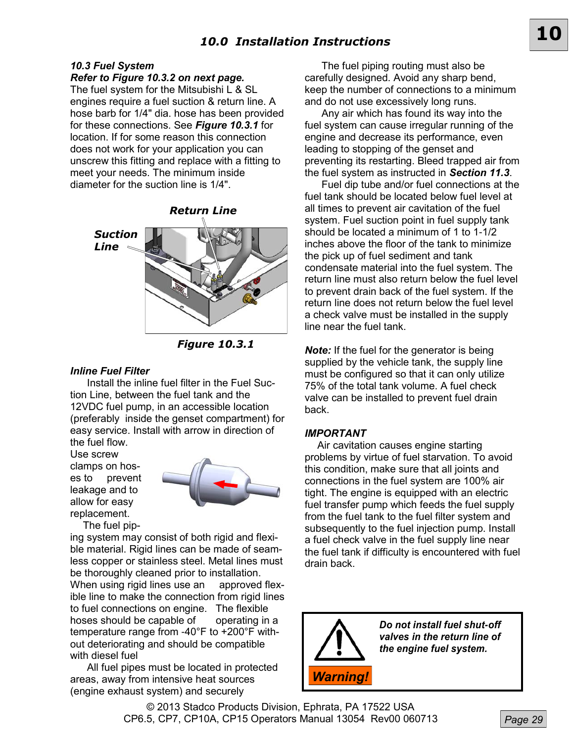# *10.0 Installation Instructions* **10**

## *10.3 Fuel System*

*Refer to Figure 10.3.2 on next page.*

The fuel system for the Mitsubishi L & SL engines require a fuel suction & return line. A hose barb for 1/4" dia. hose has been provided for these connections. See *Figure 10.3.1* for location. If for some reason this connection does not work for your application you can unscrew this fitting and replace with a fitting to meet your needs. The minimum inside diameter for the suction line is 1/4".



*Figure 10.3.1* 

### *Inline Fuel Filter*

Install the inline fuel filter in the Fuel Suction Line, between the fuel tank and the 12VDC fuel pump, in an accessible location (preferably inside the genset compartment) for easy service. Install with arrow in direction of the fuel flow.

Use screw clamps on hoses to prevent leakage and to allow for easy replacement.



The fuel pip-

ing system may consist of both rigid and flexible material. Rigid lines can be made of seamless copper or stainless steel. Metal lines must be thoroughly cleaned prior to installation. When using rigid lines use an approved flexible line to make the connection from rigid lines to fuel connections on engine. The flexible hoses should be capable of operating in a temperature range from -40°F to +200°F without deteriorating and should be compatible with diesel fuel

All fuel pipes must be located in protected areas, away from intensive heat sources (engine exhaust system) and securely

The fuel piping routing must also be carefully designed. Avoid any sharp bend, keep the number of connections to a minimum and do not use excessively long runs.

Any air which has found its way into the fuel system can cause irregular running of the engine and decrease its performance, even leading to stopping of the genset and preventing its restarting. Bleed trapped air from the fuel system as instructed in *Section 11.3*.

Fuel dip tube and/or fuel connections at the fuel tank should be located below fuel level at all times to prevent air cavitation of the fuel system. Fuel suction point in fuel supply tank should be located a minimum of 1 to 1-1/2 inches above the floor of the tank to minimize the pick up of fuel sediment and tank condensate material into the fuel system. The return line must also return below the fuel level to prevent drain back of the fuel system. If the return line does not return below the fuel level a check valve must be installed in the supply line near the fuel tank.

*Note:* If the fuel for the generator is being supplied by the vehicle tank, the supply line must be configured so that it can only utilize 75% of the total tank volume. A fuel check valve can be installed to prevent fuel drain back.

### *IMPORTANT*

Air cavitation causes engine starting problems by virtue of fuel starvation. To avoid this condition, make sure that all joints and connections in the fuel system are 100% air tight. The engine is equipped with an electric fuel transfer pump which feeds the fuel supply from the fuel tank to the fuel filter system and subsequently to the fuel injection pump. Install a fuel check valve in the fuel supply line near the fuel tank if difficulty is encountered with fuel drain back.



*Do not install fuel shut-off valves in the return line of the engine fuel system.* 

© 2013 Stadco Products Division, Ephrata, PA 17522 USA CP6.5, CP7, CP10A, CP15 Operators Manual 13054 Rev00 060713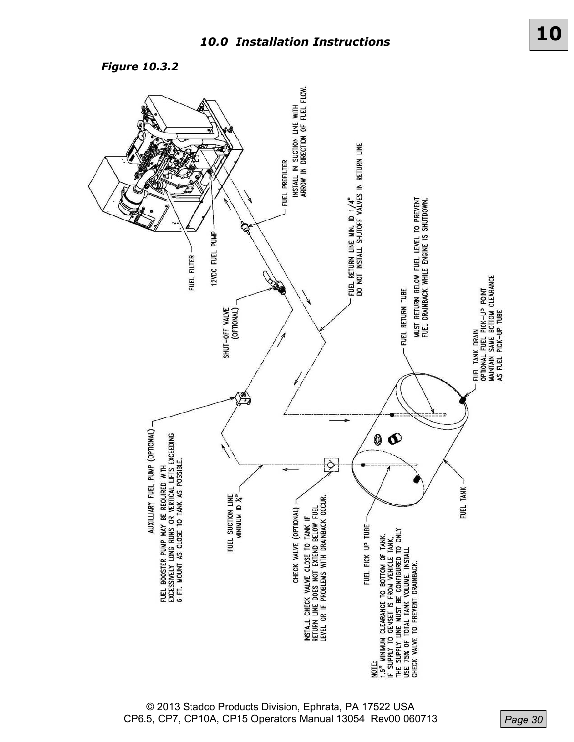*Figure 10.3.2* 



© 2013 Stadco Products Division, Ephrata, PA 17522 USA CP6.5, CP7, CP10A, CP15 Operators Manual 13054 Rev00 060713

*Page 30*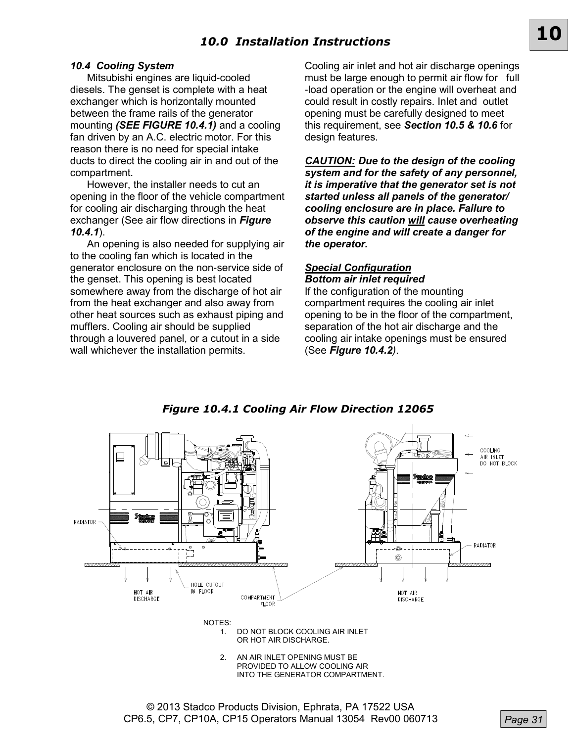# *10.0 Installation Instructions*

### *10.4 Cooling System*

Mitsubishi engines are liquid-cooled diesels. The genset is complete with a heat exchanger which is horizontally mounted between the frame rails of the generator mounting *(SEE FIGURE 10.4.1)* and a cooling fan driven by an A.C. electric motor. For this reason there is no need for special intake ducts to direct the cooling air in and out of the compartment.

However, the installer needs to cut an opening in the floor of the vehicle compartment for cooling air discharging through the heat exchanger (See air flow directions in *Figure 10.4.1*).

An opening is also needed for supplying air to the cooling fan which is located in the generator enclosure on the non-service side of the genset. This opening is best located somewhere away from the discharge of hot air from the heat exchanger and also away from other heat sources such as exhaust piping and mufflers. Cooling air should be supplied through a louvered panel, or a cutout in a side wall whichever the installation permits.

Cooling air inlet and hot air discharge openings must be large enough to permit air flow for full -load operation or the engine will overheat and could result in costly repairs. Inlet and outlet opening must be carefully designed to meet this requirement, see *Section 10.5 & 10.6* for design features.

**10**

*CAUTION: Due to the design of the cooling system and for the safety of any personnel, it is imperative that the generator set is not started unless all panels of the generator/ cooling enclosure are in place. Failure to observe this caution will cause overheating of the engine and will create a danger for the operator.*

### *Special Configuration Bottom air inlet required*

If the configuration of the mounting compartment requires the cooling air inlet opening to be in the floor of the compartment, separation of the hot air discharge and the cooling air intake openings must be ensured (See *Figure 10.4.2)*.



*Figure 10.4.1 Cooling Air Flow Direction 12065*

© 2013 Stadco Products Division, Ephrata, PA 17522 USA CP6.5, CP7, CP10A, CP15 Operators Manual 13054 Rev00 060713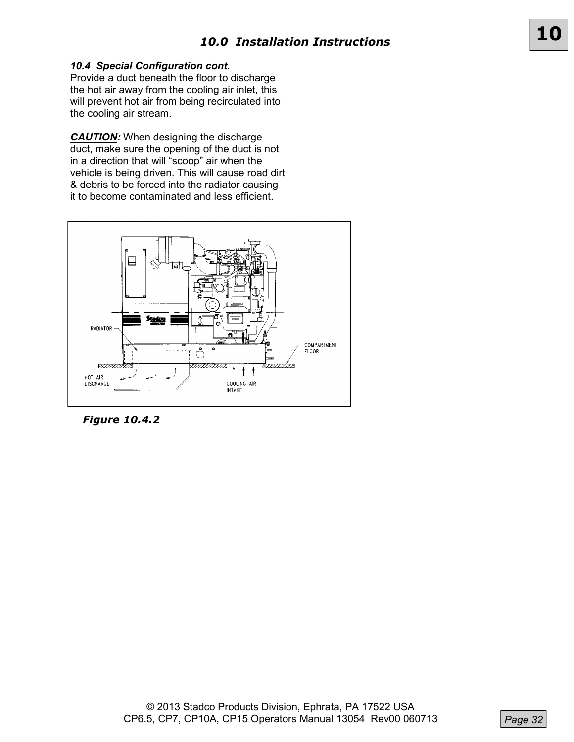## *10.4 Special Configuration cont.*

Provide a duct beneath the floor to discharge the hot air away from the cooling air inlet, this will prevent hot air from being recirculated into the cooling air stream.

**CAUTION:** When designing the discharge duct, make sure the opening of the duct is not in a direction that will "scoop" air when the vehicle is being driven. This will cause road dirt & debris to be forced into the radiator causing it to become contaminated and less efficient.



*Figure 10.4.2*

**10**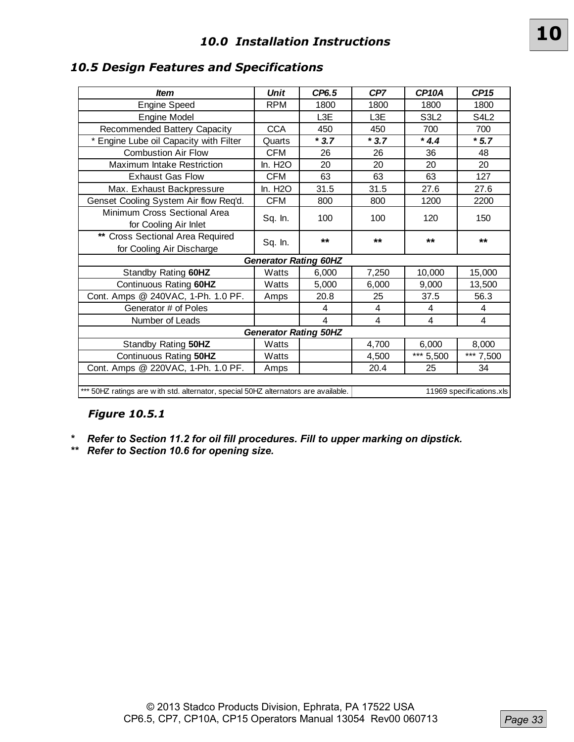|--|

## *10.5 Design Features and Specifications*

| <b>Item</b>                                                   | <b>Unit</b>                  | CP6.5  | CP7            | CP <sub>10</sub> A | <b>CP15</b>                   |
|---------------------------------------------------------------|------------------------------|--------|----------------|--------------------|-------------------------------|
| <b>Engine Speed</b>                                           | <b>RPM</b>                   | 1800   | 1800           | 1800               | 1800                          |
| Engine Model                                                  |                              | L3E    | L3E            | S3L2               | S <sub>4</sub> L <sub>2</sub> |
| Recommended Battery Capacity                                  | <b>CCA</b>                   | 450    | 450            | 700                | 700                           |
| Engine Lube oil Capacity with Filter                          | Quarts                       | $*3.7$ | $*3.7$         | $*4.4$             | $*5.7$                        |
| <b>Combustion Air Flow</b>                                    | <b>CFM</b>                   | 26     | 26             | 36                 | 48                            |
| <b>Maximum Intake Restriction</b>                             | In. H <sub>2</sub> O         | 20     | 20             | 20                 | 20                            |
| <b>Exhaust Gas Flow</b>                                       | <b>CFM</b>                   | 63     | 63             | 63                 | 127                           |
| Max. Exhaust Backpressure                                     | In. H <sub>2</sub> O         | 31.5   | 31.5           | 27.6               | 27.6                          |
| Genset Cooling System Air flow Req'd.                         | <b>CFM</b>                   | 800    | 800            | 1200               | 2200                          |
| Minimum Cross Sectional Area<br>for Cooling Air Inlet         | Sq. In.                      | 100    | 100            | 120                | 150                           |
| ** Cross Sectional Area Required<br>for Cooling Air Discharge | Sq. In.                      | $***$  | $***$          | $***$              | $***$                         |
|                                                               | <b>Generator Rating 60HZ</b> |        |                |                    |                               |
| Standby Rating 60HZ                                           | Watts                        | 6,000  | 7,250          | 10,000             | 15,000                        |
| Continuous Rating 60HZ                                        | Watts                        | 5,000  | 6,000          | 9,000              | 13,500                        |
| Cont. Amps @ 240VAC, 1-Ph. 1.0 PF.                            | Amps                         | 20.8   | 25             | 37.5               | 56.3                          |
| Generator # of Poles                                          |                              | 4      | $\overline{4}$ | 4                  | 4                             |
| Number of Leads                                               |                              | 4      | 4              | 4                  | 4                             |
|                                                               | <b>Generator Rating 50HZ</b> |        |                |                    |                               |
| Standby Rating 50HZ                                           | Watts                        |        | 4,700          | 6,000              | 8,000                         |
| Continuous Rating 50HZ                                        | Watts                        |        | 4,500          | *** 5,500          | *** 7,500                     |
| Cont. Amps @ 220VAC, 1-Ph. 1.0 PF.                            | Amps                         |        | 20.4           | 25                 | 34                            |

## *Figure 10.5.1*

*\* Refer to Section 11.2 for oil fill procedures. Fill to upper marking on dipstick.*

*\*\* Refer to Section 10.6 for opening size.*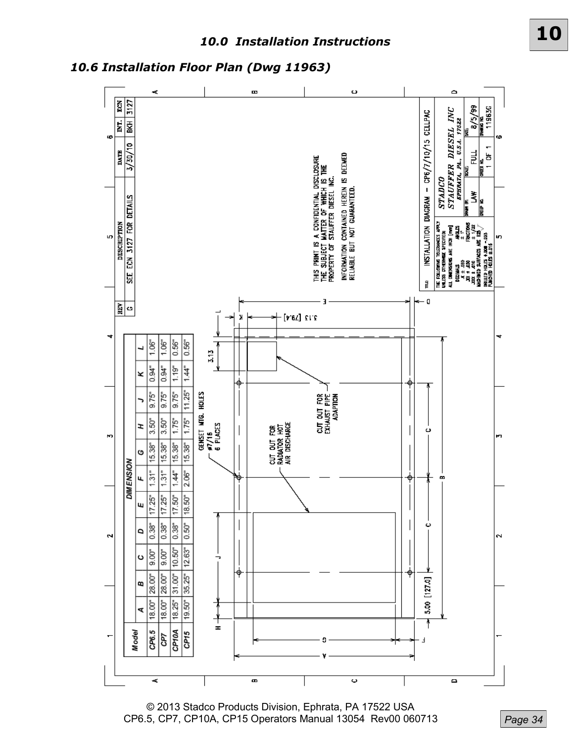*10.6 Installation Floor Plan (Dwg 11963)*



© 2013 Stadco Products Division, Ephrata, PA 17522 USA CP6.5, CP7, CP10A, CP15 Operators Manual 13054 Rev00 060713

*Page 34*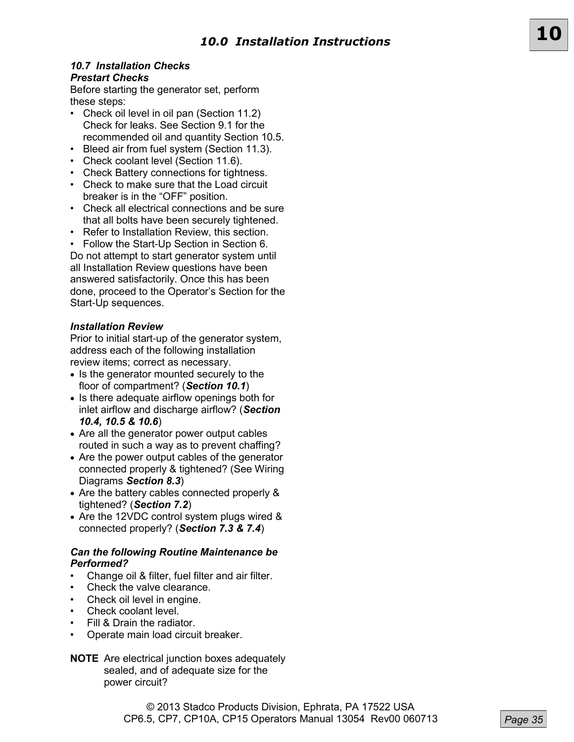## *10.7 Installation Checks Prestart Checks*

Before starting the generator set, perform these steps:

- Check oil level in oil pan (Section 11.2) Check for leaks. See Section 9.1 for the recommended oil and quantity Section 10.5.
- Bleed air from fuel system (Section 11.3).
- Check coolant level (Section 11.6).
- Check Battery connections for tightness.
- Check to make sure that the Load circuit breaker is in the "OFF" position.
- Check all electrical connections and be sure that all bolts have been securely tightened.
- Refer to Installation Review, this section.
- Follow the Start-Up Section in Section 6.

Do not attempt to start generator system until all Installation Review questions have been answered satisfactorily. Once this has been done, proceed to the Operator's Section for the Start-Up sequences.

## *Installation Review*

Prior to initial start-up of the generator system, address each of the following installation review items; correct as necessary.

- Is the generator mounted securely to the floor of compartment? (*Section 10.1*)
- Is there adequate airflow openings both for inlet airflow and discharge airflow? (*Section 10.4, 10.5 & 10.6*)
- Are all the generator power output cables routed in such a way as to prevent chaffing?
- Are the power output cables of the generator connected properly & tightened? (See Wiring Diagrams *Section 8.3*)
- Are the battery cables connected properly & tightened? (*Section 7.2*)
- Are the 12VDC control system plugs wired & connected properly? (*Section 7.3 & 7.4*)

### *Can the following Routine Maintenance be Performed?*

- Change oil & filter, fuel filter and air filter.
- Check the valve clearance.
- Check oil level in engine.
- Check coolant level.
- Fill & Drain the radiator.
- Operate main load circuit breaker.

```
NOTE Are electrical junction boxes adequately 
sealed, and of adequate size for the 
power circuit?
```
**10**